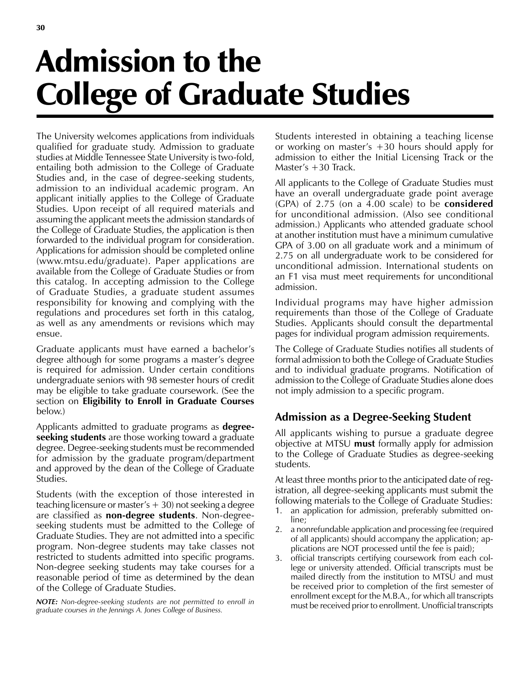# Admission to the College of Graduate Studies

The University welcomes applications from individuals qualified for graduate study. Admission to graduate studies at Middle Tennessee State University is two-fold, entailing both admission to the College of Graduate Studies and, in the case of degree-seeking students, admission to an individual academic program. An applicant initially applies to the College of Graduate Studies. Upon receipt of all required materials and assuming the applicant meets the admission standards of the College of Graduate Studies, the application is then forwarded to the individual program for consideration. Applications for admission should be completed online (www.mtsu.edu/graduate). Paper applications are available from the College of Graduate Studies or from this catalog. In accepting admission to the College of Graduate Studies, a graduate student assumes responsibility for knowing and complying with the regulations and procedures set forth in this catalog, as well as any amendments or revisions which may ensue.

Graduate applicants must have earned a bachelor's degree although for some programs a master's degree is required for admission. Under certain conditions undergraduate seniors with 98 semester hours of credit may be eligible to take graduate coursework. (See the section on **Eligibility to Enroll in Graduate Courses** below.)

Applicants admitted to graduate programs as **degreeseeking students** are those working toward a graduate degree. Degree-seeking students must be recommended for admission by the graduate program/department and approved by the dean of the College of Graduate Studies.

Students (with the exception of those interested in teaching licensure or master's  $+30$ ) not seeking a degree are classified as **non-degree students**. Non-degreeseeking students must be admitted to the College of Graduate Studies. They are not admitted into a specific program. Non-degree students may take classes not restricted to students admitted into specific programs. Non-degree seeking students may take courses for a reasonable period of time as determined by the dean of the College of Graduate Studies.

*NOTE: Non-degree-seeking students are not permitted to enroll in graduate courses in the Jennings A. Jones College of Business.*

Students interested in obtaining a teaching license or working on master's +30 hours should apply for admission to either the Initial Licensing Track or the Master's +30 Track.

All applicants to the College of Graduate Studies must have an overall undergraduate grade point average (GPA) of 2.75 (on a 4.00 scale) to be **considered** for unconditional admission. (Also see conditional admission.) Applicants who attended graduate school at another institution must have a minimum cumulative GPA of 3.00 on all graduate work and a minimum of 2.75 on all undergraduate work to be considered for unconditional admission. International students on an F1 visa must meet requirements for unconditional admission.

Individual programs may have higher admission requirements than those of the College of Graduate Studies. Applicants should consult the departmental pages for individual program admission requirements.

The College of Graduate Studies notifies all students of formal admission to both the College of Graduate Studies and to individual graduate programs. Notification of admission to the College of Graduate Studies alone does not imply admission to a specific program.

# **Admission as a Degree-Seeking Student**

All applicants wishing to pursue a graduate degree objective at MTSU **must** formally apply for admission to the College of Graduate Studies as degree-seeking students.

At least three months prior to the anticipated date of registration, all degree-seeking applicants must submit the following materials to the College of Graduate Studies:

- 1. an application for admission, preferably submitted online;
- 2. a nonrefundable application and processing fee (required of all applicants) should accompany the application; applications are NOT processed until the fee is paid);
- 3. official transcripts certifying coursework from each college or university attended. Official transcripts must be mailed directly from the institution to MTSU and must be received prior to completion of the first semester of enrollment except for the M.B.A., for which all transcripts must be received prior to enrollment. Unofficial transcripts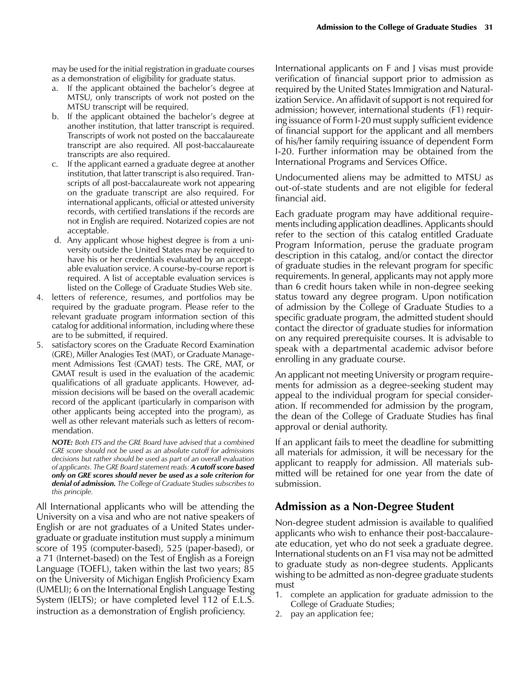may be used for the initial registration in graduate courses as a demonstration of eligibility for graduate status.

- a. If the applicant obtained the bachelor's degree at MTSU, only transcripts of work not posted on the MTSU transcript will be required.
- b. If the applicant obtained the bachelor's degree at another institution, that latter transcript is required. Transcripts of work not posted on the baccalaureate transcript are also required. All post-baccalaureate transcripts are also required.
- c. If the applicant earned a graduate degree at another institution, that latter transcript is also required. Transcripts of all post-baccalaureate work not appearing on the graduate transcript are also required. For international applicants, official or attested university records, with certified translations if the records are not in English are required. Notarized copies are not acceptable.
- d. Any applicant whose highest degree is from a university outside the United States may be required to have his or her credentials evaluated by an acceptable evaluation service. A course-by-course report is required. A list of acceptable evaluation services is listed on the College of Graduate Studies Web site.
- 4. letters of reference, resumes, and portfolios may be required by the graduate program. Please refer to the relevant graduate program information section of this catalog for additional information, including where these are to be submitted, if required.
- 5. satisfactory scores on the Graduate Record Examination (GRE), Miller Analogies Test (MAT), or Graduate Management Admissions Test (GMAT) tests. The GRE, MAT, or GMAT result is used in the evaluation of the academic qualifications of all graduate applicants. However, admission decisions will be based on the overall academic record of the applicant (particularly in comparison with other applicants being accepted into the program), as well as other relevant materials such as letters of recommendation.

*NOTE: Both ETS and the GRE Board have advised that a combined GRE score should not be used as an absolute cutoff for admissions decisions but rather should be used as part of an overall evaluation of applicants. The GRE Board statement reads: A cutoff score based only on GRE scores should never be used as a sole criterion for denial of admission. The College of Graduate Studies subscribes to this principle.*

All International applicants who will be attending the University on a visa and who are not native speakers of English or are not graduates of a United States undergraduate or graduate institution must supply a minimum score of 195 (computer-based), 525 (paper-based), or a 71 (Internet-based) on the Test of English as a Foreign Language (TOEFL), taken within the last two years; 85 on the University of Michigan English Proficiency Exam (UMELI); 6 on the International English Language Testing System (IELTS); or have completed level 112 of E.L.S. instruction as a demonstration of English proficiency.

International applicants on F and J visas must provide verification of financial support prior to admission as required by the United States Immigration and Naturalization Service. An affidavit of support is not required for admission; however, international students (F1) requiring issuance of Form I-20 must supply sufficient evidence of financial support for the applicant and all members of his/her family requiring issuance of dependent Form I-20. Further information may be obtained from the International Programs and Services Office.

Undocumented aliens may be admitted to MTSU as out-of-state students and are not eligible for federal financial aid.

Each graduate program may have additional requirements including application deadlines. Applicants should refer to the section of this catalog entitled Graduate Program Information, peruse the graduate program description in this catalog, and/or contact the director of graduate studies in the relevant program for specific requirements. In general, applicants may not apply more than 6 credit hours taken while in non-degree seeking status toward any degree program. Upon notification of admission by the College of Graduate Studies to a specific graduate program, the admitted student should contact the director of graduate studies for information on any required prerequisite courses. It is advisable to speak with a departmental academic advisor before enrolling in any graduate course.

An applicant not meeting University or program requirements for admission as a degree-seeking student may appeal to the individual program for special consideration. If recommended for admission by the program, the dean of the College of Graduate Studies has final approval or denial authority.

If an applicant fails to meet the deadline for submitting all materials for admission, it will be necessary for the applicant to reapply for admission. All materials submitted will be retained for one year from the date of submission.

#### **Admission as a Non-Degree Student**

Non-degree student admission is available to qualified applicants who wish to enhance their post-baccalaureate education, yet who do not seek a graduate degree. International students on an F1 visa may not be admitted to graduate study as non-degree students. Applicants wishing to be admitted as non-degree graduate students must

- 1. complete an application for graduate admission to the College of Graduate Studies;
- 2. pay an application fee;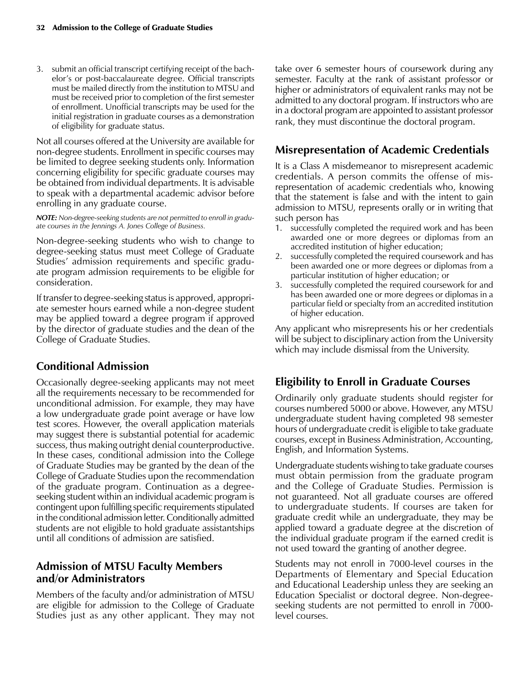3. submit an official transcript certifying receipt of the bachelor's or post-baccalaureate degree. Official transcripts must be mailed directly from the institution to MTSU and must be received prior to completion of the first semester of enrollment. Unofficial transcripts may be used for the initial registration in graduate courses as a demonstration of eligibility for graduate status.

Not all courses offered at the University are available for non-degree students. Enrollment in specific courses may be limited to degree seeking students only. Information concerning eligibility for specific graduate courses may be obtained from individual departments. It is advisable to speak with a departmental academic advisor before enrolling in any graduate course.

*NOTE: Non-degree-seeking students are not permitted to enroll in graduate courses in the Jennings A. Jones College of Business.*

Non-degree-seeking students who wish to change to degree-seeking status must meet College of Graduate Studies' admission requirements and specific graduate program admission requirements to be eligible for consideration.

If transfer to degree-seeking status is approved, appropriate semester hours earned while a non-degree student may be applied toward a degree program if approved by the director of graduate studies and the dean of the College of Graduate Studies.

## **Conditional Admission**

Occasionally degree-seeking applicants may not meet all the requirements necessary to be recommended for unconditional admission. For example, they may have a low undergraduate grade point average or have low test scores. However, the overall application materials may suggest there is substantial potential for academic success, thus making outright denial counterproductive. In these cases, conditional admission into the College of Graduate Studies may be granted by the dean of the College of Graduate Studies upon the recommendation of the graduate program. Continuation as a degreeseeking student within an individual academic program is contingent upon fulfilling specific requirements stipulated in the conditional admission letter. Conditionally admitted students are not eligible to hold graduate assistantships until all conditions of admission are satisfied.

## **Admission of MTSU Faculty Members and/or Administrators**

Members of the faculty and/or administration of MTSU are eligible for admission to the College of Graduate Studies just as any other applicant. They may not take over 6 semester hours of coursework during any semester. Faculty at the rank of assistant professor or higher or administrators of equivalent ranks may not be admitted to any doctoral program. If instructors who are in a doctoral program are appointed to assistant professor rank, they must discontinue the doctoral program.

## **Misrepresentation of Academic Credentials**

It is a Class A misdemeanor to misrepresent academic credentials. A person commits the offense of misrepresentation of academic credentials who, knowing that the statement is false and with the intent to gain admission to MTSU, represents orally or in writing that such person has

- 1. successfully completed the required work and has been awarded one or more degrees or diplomas from an accredited institution of higher education;
- 2. successfully completed the required coursework and has been awarded one or more degrees or diplomas from a particular institution of higher education; or
- successfully completed the required coursework for and has been awarded one or more degrees or diplomas in a particular field or specialty from an accredited institution of higher education.

Any applicant who misrepresents his or her credentials will be subject to disciplinary action from the University which may include dismissal from the University.

# **Eligibility to Enroll in Graduate Courses**

Ordinarily only graduate students should register for courses numbered 5000 or above. However, any MTSU undergraduate student having completed 98 semester hours of undergraduate credit is eligible to take graduate courses, except in Business Administration, Accounting, English, and Information Systems.

Undergraduate students wishing to take graduate courses must obtain permission from the graduate program and the College of Graduate Studies. Permission is not guaranteed. Not all graduate courses are offered to undergraduate students. If courses are taken for graduate credit while an undergraduate, they may be applied toward a graduate degree at the discretion of the individual graduate program if the earned credit is not used toward the granting of another degree.

Students may not enroll in 7000-level courses in the Departments of Elementary and Special Education and Educational Leadership unless they are seeking an Education Specialist or doctoral degree. Non-degreeseeking students are not permitted to enroll in 7000 level courses.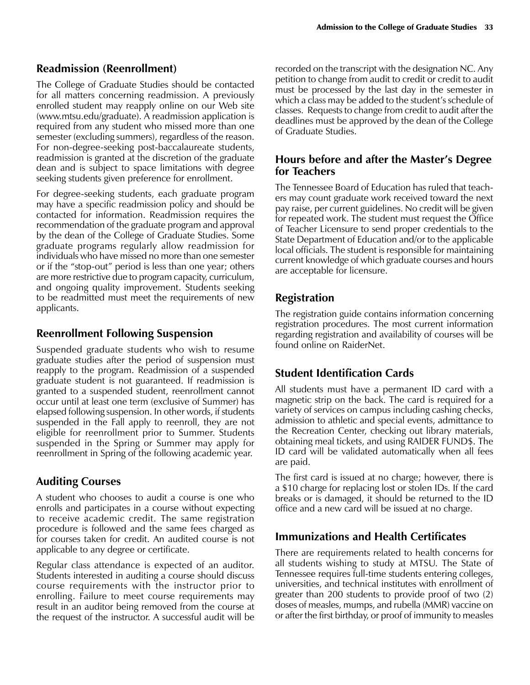#### **Readmission (Reenrollment)**

The College of Graduate Studies should be contacted for all matters concerning readmission. A previously enrolled student may reapply online on our Web site (www.mtsu.edu/graduate). A readmission application is required from any student who missed more than one semester (excluding summers), regardless of the reason. For non-degree-seeking post-baccalaureate students, readmission is granted at the discretion of the graduate dean and is subject to space limitations with degree seeking students given preference for enrollment.

For degree-seeking students, each graduate program may have a specific readmission policy and should be contacted for information. Readmission requires the recommendation of the graduate program and approval by the dean of the College of Graduate Studies. Some graduate programs regularly allow readmission for individuals who have missed no more than one semester or if the "stop-out" period is less than one year; others are more restrictive due to program capacity, curriculum, and ongoing quality improvement. Students seeking to be readmitted must meet the requirements of new applicants.

## **Reenrollment Following Suspension**

Suspended graduate students who wish to resume graduate studies after the period of suspension must reapply to the program. Readmission of a suspended graduate student is not guaranteed. If readmission is granted to a suspended student, reenrollment cannot occur until at least one term (exclusive of Summer) has elapsed following suspension. In other words, if students suspended in the Fall apply to reenroll, they are not eligible for reenrollment prior to Summer. Students suspended in the Spring or Summer may apply for reenrollment in Spring of the following academic year.

# **Auditing Courses**

A student who chooses to audit a course is one who enrolls and participates in a course without expecting to receive academic credit. The same registration procedure is followed and the same fees charged as for courses taken for credit. An audited course is not applicable to any degree or certificate.

Regular class attendance is expected of an auditor. Students interested in auditing a course should discuss course requirements with the instructor prior to enrolling. Failure to meet course requirements may result in an auditor being removed from the course at the request of the instructor. A successful audit will be

recorded on the transcript with the designation NC. Any petition to change from audit to credit or credit to audit must be processed by the last day in the semester in which a class may be added to the student's schedule of classes. Requests to change from credit to audit after the deadlines must be approved by the dean of the College of Graduate Studies.

#### **Hours before and after the Master's Degree for Teachers**

The Tennessee Board of Education has ruled that teachers may count graduate work received toward the next pay raise, per current guidelines. No credit will be given for repeated work. The student must request the Office of Teacher Licensure to send proper credentials to the State Department of Education and/or to the applicable local officials. The student is responsible for maintaining current knowledge of which graduate courses and hours are acceptable for licensure.

## **Registration**

The registration guide contains information concerning registration procedures. The most current information regarding registration and availability of courses will be found online on RaiderNet.

# **Student Identification Cards**

All students must have a permanent ID card with a magnetic strip on the back. The card is required for a variety of services on campus including cashing checks, admission to athletic and special events, admittance to the Recreation Center, checking out library materials, obtaining meal tickets, and using RAIDER FUND\$. The ID card will be validated automatically when all fees are paid.

The first card is issued at no charge; however, there is a \$10 charge for replacing lost or stolen IDs. If the card breaks or is damaged, it should be returned to the ID office and a new card will be issued at no charge.

# **Immunizations and Health Certificates**

There are requirements related to health concerns for all students wishing to study at MTSU. The State of Tennessee requires full-time students entering colleges, universities, and technical institutes with enrollment of greater than 200 students to provide proof of two (2) doses of measles, mumps, and rubella (MMR) vaccine on or after the first birthday, or proof of immunity to measles